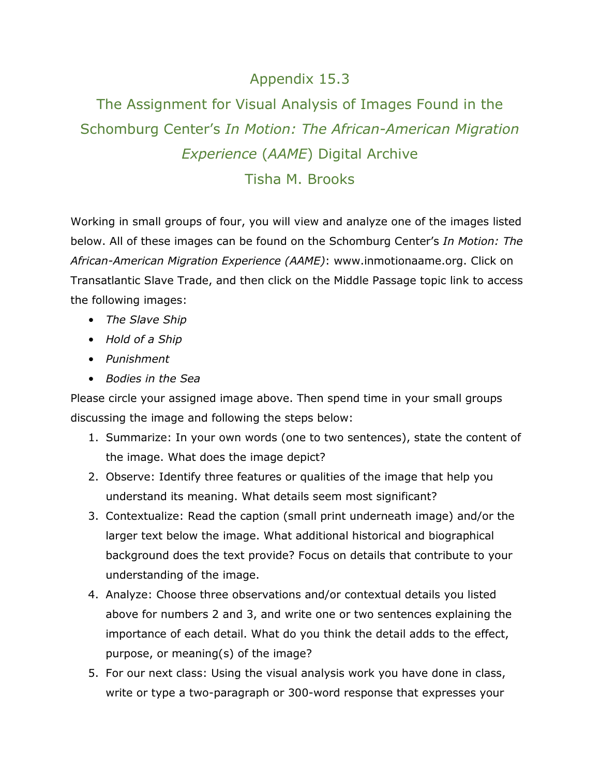## Appendix 15.3

## The Assignment for Visual Analysis of Images Found in the Schomburg Center's *In Motion: The African-American Migration Experience* (*AAME*) Digital Archive Tisha M. Brooks

Working in small groups of four, you will view and analyze one of the images listed below. All of these images can be found on the Schomburg Center's *In Motion: The African-American Migration Experience (AAME)*: [www.inmotionaame.org.](http://www.inmotionaame.org/) Click on Transatlantic Slave Trade, and then click on the Middle Passage topic link to access the following images:

- *The Slave Ship*
- *Hold of a Ship*
- *Punishment*
- *Bodies in the Sea*

Please circle your assigned image above. Then spend time in your small groups discussing the image and following the steps below:

- 1. Summarize: In your own words (one to two sentences), state the content of the image. What does the image depict?
- 2. Observe: Identify three features or qualities of the image that help you understand its meaning. What details seem most significant?
- 3. Contextualize: Read the caption (small print underneath image) and/or the larger text below the image. What additional historical and biographical background does the text provide? Focus on details that contribute to your understanding of the image.
- 4. Analyze: Choose three observations and/or contextual details you listed above for numbers 2 and 3, and write one or two sentences explaining the importance of each detail. What do you think the detail adds to the effect, purpose, or meaning(s) of the image?
- 5. For our next class: Using the visual analysis work you have done in class, write or type a two-paragraph or 300-word response that expresses your